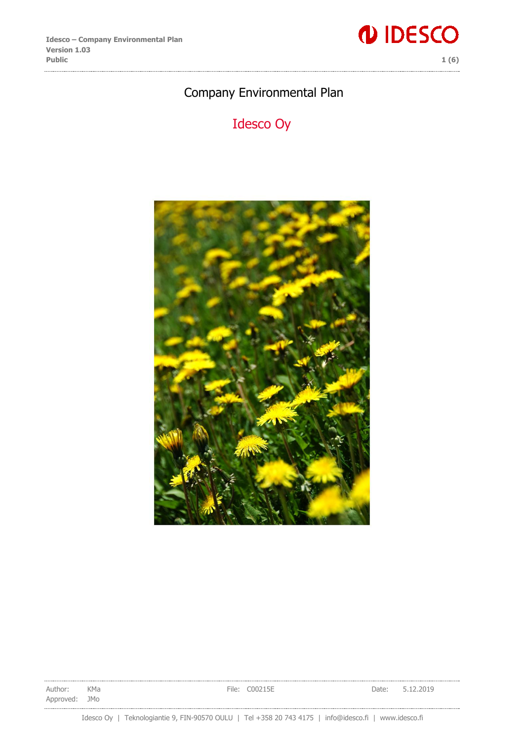

## Company Environmental Plan

# Idesco Oy



Author: KMa **File: C00215E Date: 5.12.2019** Approved: JMo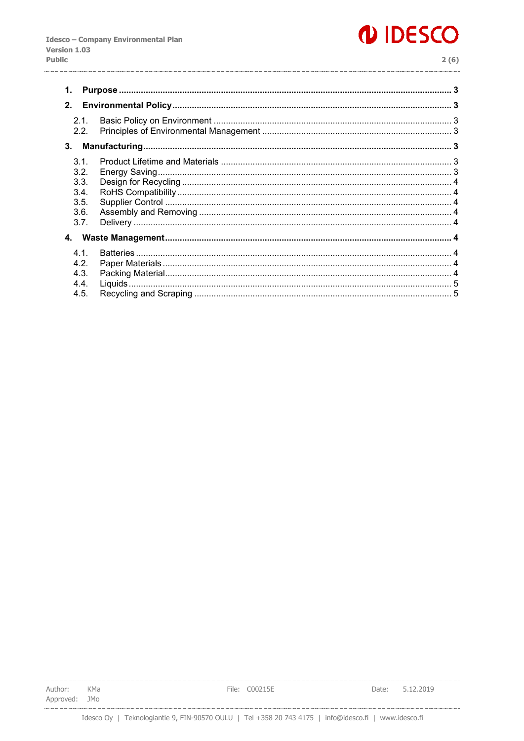# *IDESCO*

| ۰.<br>۰. |         |  |
|----------|---------|--|
|          | ۰.<br>× |  |

| 1.                                                   |  |  |  |  |  |  |  |  |
|------------------------------------------------------|--|--|--|--|--|--|--|--|
| 2.                                                   |  |  |  |  |  |  |  |  |
| 2.1.<br>2.2 <sub>1</sub>                             |  |  |  |  |  |  |  |  |
| 3.                                                   |  |  |  |  |  |  |  |  |
| 3.1.<br>3.2.<br>3.3.<br>3.4.<br>3.5.<br>3.6.<br>3.7. |  |  |  |  |  |  |  |  |
| 4.                                                   |  |  |  |  |  |  |  |  |
| 4.1<br>4.2.<br>4.3.<br>4.4.<br>4.5.                  |  |  |  |  |  |  |  |  |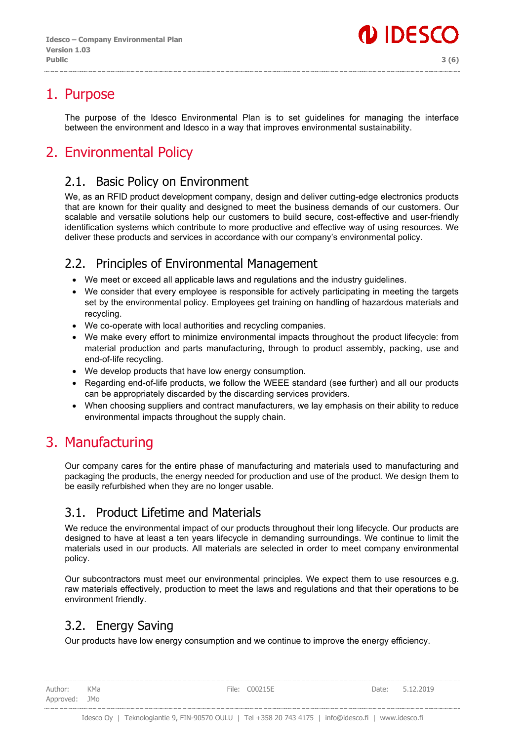

## <span id="page-2-0"></span>1. Purpose

The purpose of the Idesco Environmental Plan is to set guidelines for managing the interface between the environment and Idesco in a way that improves environmental sustainability.

# <span id="page-2-1"></span>2. Environmental Policy

### <span id="page-2-2"></span>2.1. Basic Policy on Environment

We, as an RFID product development company, design and deliver cutting-edge electronics products that are known for their quality and designed to meet the business demands of our customers. Our scalable and versatile solutions help our customers to build secure, cost-effective and user-friendly identification systems which contribute to more productive and effective way of using resources. We deliver these products and services in accordance with our company's environmental policy.

#### <span id="page-2-3"></span>2.2. Principles of Environmental Management

- We meet or exceed all applicable laws and regulations and the industry guidelines.
- We consider that every employee is responsible for actively participating in meeting the targets set by the environmental policy. Employees get training on handling of hazardous materials and recycling.
- We co-operate with local authorities and recycling companies.
- We make every effort to minimize environmental impacts throughout the product lifecycle: from material production and parts manufacturing, through to product assembly, packing, use and end-of-life recycling.
- We develop products that have low energy consumption.
- Regarding end-of-life products, we follow the WEEE standard (see further) and all our products can be appropriately discarded by the discarding services providers.
- When choosing suppliers and contract manufacturers, we lay emphasis on their ability to reduce environmental impacts throughout the supply chain.

## <span id="page-2-4"></span>3. Manufacturing

Our company cares for the entire phase of manufacturing and materials used to manufacturing and packaging the products, the energy needed for production and use of the product. We design them to be easily refurbished when they are no longer usable.

#### <span id="page-2-5"></span>3.1. Product Lifetime and Materials

We reduce the environmental impact of our products throughout their long lifecycle. Our products are designed to have at least a ten years lifecycle in demanding surroundings. We continue to limit the materials used in our products. All materials are selected in order to meet company environmental policy.

Our subcontractors must meet our environmental principles. We expect them to use resources e.g. raw materials effectively, production to meet the laws and regulations and that their operations to be environment friendly.

## <span id="page-2-6"></span>3.2. Energy Saving

Our products have low energy consumption and we continue to improve the energy efficiency.

Author: KMa **File: COO215E** Particle Pate: 5.12.2019 Approved: JMo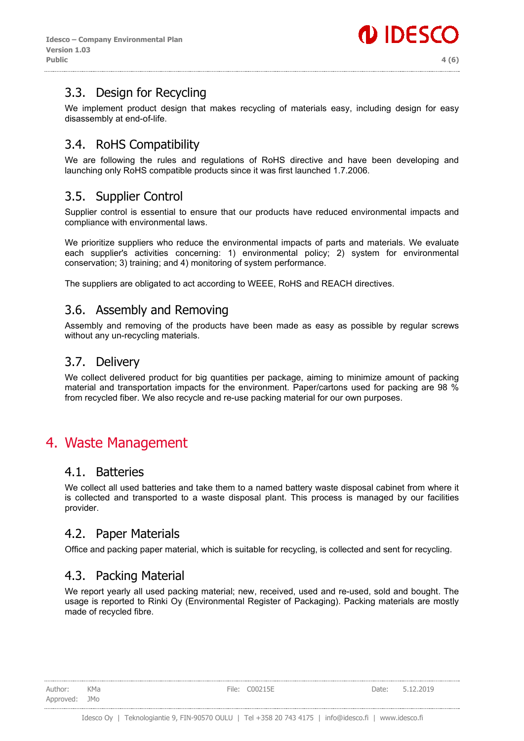## <span id="page-3-0"></span>3.3. Design for Recycling

We implement product design that makes recycling of materials easy, including design for easy disassembly at end-of-life.

## <span id="page-3-1"></span>3.4. RoHS Compatibility

We are following the rules and regulations of RoHS directive and have been developing and launching only RoHS compatible products since it was first launched 1.7.2006.

## <span id="page-3-2"></span>3.5. Supplier Control

Supplier control is essential to ensure that our products have reduced environmental impacts and compliance with environmental laws.

We prioritize suppliers who reduce the environmental impacts of parts and materials. We evaluate each supplier's activities concerning: 1) environmental policy; 2) system for environmental conservation; 3) training; and 4) monitoring of system performance.

The suppliers are obligated to act according to WEEE, RoHS and REACH directives.

#### <span id="page-3-3"></span>3.6. Assembly and Removing

Assembly and removing of the products have been made as easy as possible by regular screws without any un-recycling materials.

#### <span id="page-3-4"></span>3.7. Delivery

We collect delivered product for big quantities per package, aiming to minimize amount of packing material and transportation impacts for the environment. Paper/cartons used for packing are 98 % from recycled fiber. We also recycle and re-use packing material for our own purposes.

## <span id="page-3-5"></span>4. Waste Management

#### <span id="page-3-6"></span>4.1. Batteries

We collect all used batteries and take them to a named battery waste disposal cabinet from where it is collected and transported to a waste disposal plant. This process is managed by our facilities provider.

#### <span id="page-3-7"></span>4.2. Paper Materials

Office and packing paper material, which is suitable for recycling, is collected and sent for recycling.

#### <span id="page-3-8"></span>4.3. Packing Material

We report yearly all used packing material; new, received, used and re-used, sold and bought. The usage is reported to Rinki Oy (Environmental Register of Packaging). Packing materials are mostly made of recycled fibre.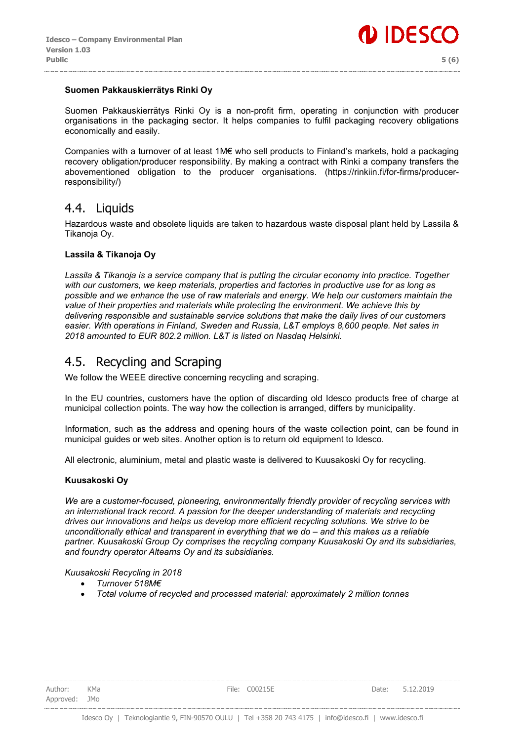

#### **Suomen Pakkauskierrätys Rinki Oy**

Suomen Pakkauskierrätys Rinki Oy is a non-profit firm, operating in conjunction with producer organisations in the packaging sector. It helps companies to fulfil packaging recovery obligations economically and easily.

Companies with a turnover of at least 1M€ who sell products to Finland's markets, hold a packaging recovery obligation/producer responsibility. By making a contract with Rinki a company transfers the abovementioned obligation to the producer organisations. (https://rinkiin.fi/for-firms/producerresponsibility/)

#### <span id="page-4-0"></span>4.4. Liquids

Hazardous waste and obsolete liquids are taken to hazardous waste disposal plant held by Lassila & Tikanoja Oy.

#### **Lassila & Tikanoja Oy**

Lassila & Tikanoja is a service company that is putting the circular economy into practice. Together *with our customers, we keep materials, properties and factories in productive use for as long as possible and we enhance the use of raw materials and energy. We help our customers maintain the value of their properties and materials while protecting the environment. We achieve this by delivering responsible and sustainable service solutions that make the daily lives of our customers easier. With operations in Finland, Sweden and Russia, L&T employs 8,600 people. Net sales in 2018 amounted to EUR 802.2 million. L&T is listed on Nasdaq Helsinki.*

#### <span id="page-4-1"></span>4.5. Recycling and Scraping

We follow the WEEE directive concerning recycling and scraping.

In the EU countries, customers have the option of discarding old Idesco products free of charge at municipal collection points. The way how the collection is arranged, differs by municipality.

Information, such as the address and opening hours of the waste collection point, can be found in municipal guides or web sites. Another option is to return old equipment to Idesco.

All electronic, aluminium, metal and plastic waste is delivered to Kuusakoski Oy for recycling.

#### **Kuusakoski Oy**

*We are a customer-focused, pioneering, environmentally friendly provider of recycling services with an international track record. A passion for the deeper understanding of materials and recycling drives our innovations and helps us develop more efficient recycling solutions. We strive to be unconditionally ethical and transparent in everything that we do ‒ and this makes us a reliable partner. Kuusakoski Group Oy comprises the recycling company Kuusakoski Oy and its subsidiaries, and foundry operator Alteams Oy and its subsidiaries.*

*Kuusakoski Recycling in 2018*

- *Turnover 518M€*
- *Total volume of recycled and processed material: approximately 2 million tonnes*